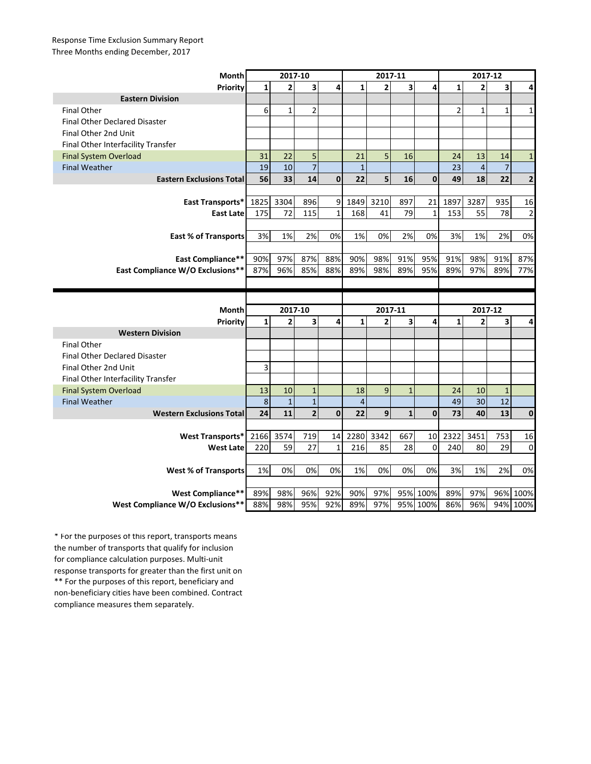## Response Time Exclusion Summary Report Three Months ending December, 2017

| Month                                | 2017-10      |                |                         |              | 2017-11        |                |                         |                      | 2017-12        |                         |                |                      |
|--------------------------------------|--------------|----------------|-------------------------|--------------|----------------|----------------|-------------------------|----------------------|----------------|-------------------------|----------------|----------------------|
| Priority                             | 1            | $\overline{2}$ | $\overline{\mathbf{3}}$ | 4            | $\mathbf{1}$   | $\overline{2}$ | $\overline{\mathbf{3}}$ | 4                    | $\mathbf{1}$   | $\overline{2}$          | 3              | 4                    |
| <b>Eastern Division</b>              |              |                |                         |              |                |                |                         |                      |                |                         |                |                      |
| <b>Final Other</b>                   | 6            | $\mathbf{1}$   | $\overline{2}$          |              |                |                |                         |                      | $\overline{2}$ | $\mathbf{1}$            | $\mathbf{1}$   | 1                    |
| <b>Final Other Declared Disaster</b> |              |                |                         |              |                |                |                         |                      |                |                         |                |                      |
| Final Other 2nd Unit                 |              |                |                         |              |                |                |                         |                      |                |                         |                |                      |
| Final Other Interfacility Transfer   |              |                |                         |              |                |                |                         |                      |                |                         |                |                      |
| <b>Final System Overload</b>         | 31           | 22             | 5                       |              | 21             | 5              | 16                      |                      | 24             | 13                      | 14             | $\mathbf{1}$         |
| <b>Final Weather</b>                 | 19           | 10             | $\overline{7}$          |              | $\mathbf{1}$   |                |                         |                      | 23             | $\overline{\mathbf{4}}$ | $\overline{7}$ |                      |
| <b>Eastern Exclusions Total</b>      | 56           | 33             | 14                      | $\mathbf{0}$ | 22             | 5              | 16                      | $\mathbf{0}$         | 49             | 18                      | 22             | $\mathbf{2}$         |
|                                      |              |                |                         |              |                |                |                         |                      |                |                         |                |                      |
| East Transports*                     | 1825         | 3304           | 896                     | 9            | 1849           | 3210           | 897                     | 21                   | 1897           | 3287                    | 935            | 16                   |
| <b>East Late</b>                     | 175          | 72             | 115                     | $\mathbf{1}$ | 168            | 41             | 79                      | $\mathbf 1$          | 153            | 55                      | 78             | $\overline{2}$       |
|                                      |              |                |                         |              |                |                |                         |                      |                |                         |                |                      |
| <b>East % of Transports</b>          | 3%           | 1%             | 2%                      | 0%           | 1%             | 0%             | 2%                      | 0%                   | 3%             | 1%                      | 2%             | 0%                   |
|                                      |              |                |                         |              |                |                |                         |                      |                |                         |                |                      |
| <b>East Compliance**</b>             | 90%          | 97%            | 87%                     | 88%          | 90%            | 98%            | 91%                     | 95%                  | 91%            | 98%                     | 91%            | 87%                  |
| East Compliance W/O Exclusions**     | 87%          | 96%            | 85%                     | 88%          | 89%            | 98%            | 89%                     | 95%                  | 89%            | 97%                     | 89%            | 77%                  |
|                                      |              |                |                         |              |                |                |                         |                      |                |                         |                |                      |
|                                      |              |                |                         |              |                |                |                         |                      |                |                         |                |                      |
|                                      |              |                |                         |              |                |                |                         |                      |                |                         |                |                      |
| Month                                |              | 2017-10        |                         |              |                | 2017-11        |                         |                      |                | 2017-12                 |                |                      |
| Priority                             | $\mathbf{1}$ | $\overline{2}$ | 3                       | 4            | $\mathbf{1}$   | $\overline{2}$ | 3                       | 4                    | $\mathbf{1}$   | $\overline{2}$          | 3              | 4                    |
| <b>Western Division</b>              |              |                |                         |              |                |                |                         |                      |                |                         |                |                      |
| <b>Final Other</b>                   |              |                |                         |              |                |                |                         |                      |                |                         |                |                      |
| <b>Final Other Declared Disaster</b> |              |                |                         |              |                |                |                         |                      |                |                         |                |                      |
| Final Other 2nd Unit                 | 3            |                |                         |              |                |                |                         |                      |                |                         |                |                      |
| Final Other Interfacility Transfer   |              |                |                         |              |                |                |                         |                      |                |                         |                |                      |
| <b>Final System Overload</b>         | 13           | 10             | $\mathbf{1}$            |              | 18             | 9              | $\mathbf{1}$            |                      | 24             | 10                      | $\mathbf{1}$   |                      |
| <b>Final Weather</b>                 | $\,8\,$      | $\mathbf{1}$   | $\mathbf{1}$            |              | $\overline{4}$ |                |                         |                      | 49             | 30                      | 12             |                      |
| <b>Western Exclusions Total</b>      | 24           | 11             | $\overline{2}$          | $\mathbf 0$  | 22             | 9              | $\mathbf{1}$            | $\mathbf 0$          | 73             | 40                      | 13             | $\mathbf 0$          |
|                                      |              |                |                         |              |                |                |                         |                      |                |                         |                |                      |
| <b>West Transports*</b>              | 2166         | 3574           | 719                     | 14           | 2280           | 3342           | 667                     | 10                   | 2322           | 3451                    | 753            | 16                   |
| <b>West Late</b>                     | 220          | 59             | 27                      | $\mathbf{1}$ | 216            | 85             | 28                      | $\Omega$             | 240            | 80                      | 29             | $\mathbf 0$          |
|                                      |              |                |                         |              |                |                |                         |                      |                |                         |                |                      |
| <b>West % of Transports</b>          | 1%           | 0%             | 0%                      | 0%           | 1%             | 0%             | 0%                      | 0%                   | 3%             | 1%                      | 2%             | 0%                   |
|                                      |              |                |                         |              |                |                |                         |                      |                |                         |                |                      |
| West Compliance**                    | 89%          | 98%<br>98%     | 96%<br>95%              | 92%<br>92%   | 90%<br>89%     | 97%<br>97%     |                         | 95% 100%<br>95% 100% | 89%<br>86%     | 97%<br>96%              |                | 96% 100%<br>94% 100% |

\*\* For the purposes of this report, beneficiary and non-beneficiary cities have been combined. Contract compliance measures them separately. \* For the purposes of this report, transports means the number of transports that qualify for inclusion for compliance calculation purposes. Multi-unit response transports for greater than the first unit on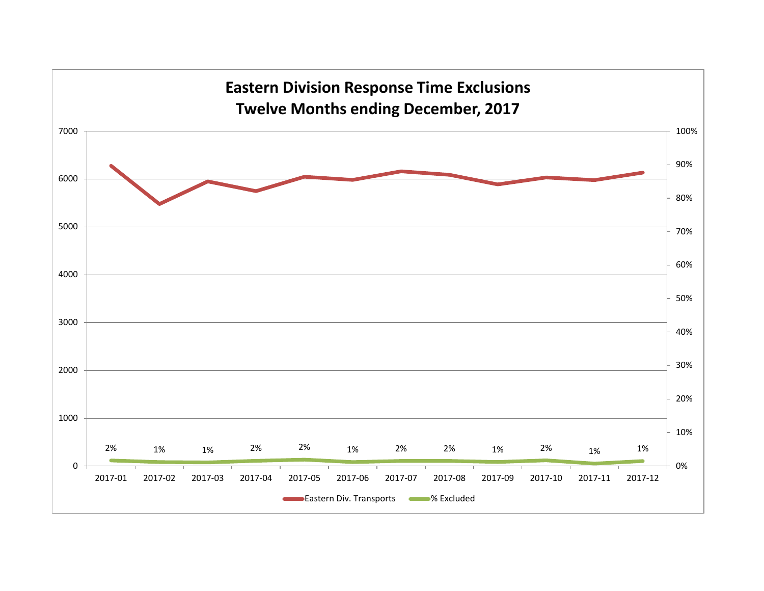